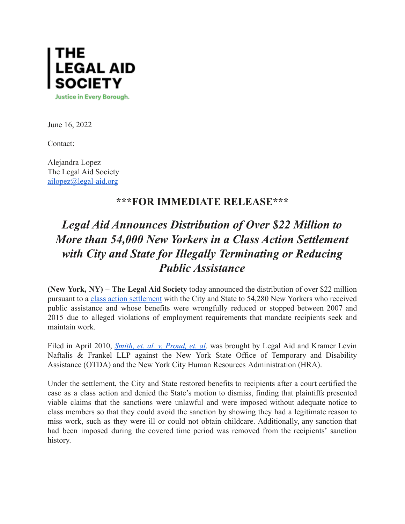

June 16, 2022

Contact:

Alejandra Lopez The Legal Aid Society [ailopez@legal-aid.org](mailto:ailopez@legal-aid.org)

## **\*\*\*FOR IMMEDIATE RELEASE\*\*\***

## *Legal Aid Announces Distribution of Over \$22 Million to More than 54,000 New Yorkers in a Class Action Settlement with City and State for Illegally Terminating or Reducing Public Assistance*

**(New York, NY)** – **The Legal Aid Society** today announced the distribution of over \$22 million pursuant to a class action [settlement](https://nam10.safelinks.protection.outlook.com/?url=https%3A%2F%2Fiapps.courts.state.ny.us%2Ffbem%2FDocumentDisplayServlet%3FdocumentId%3D5OyLvCx5tK1wN3JJijeMtA%3D%3D%26system%3Dprod&data=05%7C01%7CJVacanti%40legal-aid.org%7Cfb753ebed05041ab034408da4f9e2a09%7Cf226ccf384ef49ca9b0a9b565b2f0f06%7C0%7C0%7C637909837981760817%7CUnknown%7CTWFpbGZsb3d8eyJWIjoiMC4wLjAwMDAiLCJQIjoiV2luMzIiLCJBTiI6Ik1haWwiLCJXVCI6Mn0%3D%7C3000%7C%7C%7C&sdata=TzV%2FS4nv%2FlGeuJlPHSk1omKAU7EI6Zmc7x01rEoUaKo%3D&reserved=0) with the City and State to 54,280 New Yorkers who received public assistance and whose benefits were wrongfully reduced or stopped between 2007 and 2015 due to alleged violations of employment requirements that mandate recipients seek and maintain work.

Filed in April 2010, *Smith, et. al. v. [Proud,](https://nam10.safelinks.protection.outlook.com/?url=https%3A%2F%2Flegalaidnyc.org%2Fwp-content%2Fuploads%2F2022%2F06%2FSmith-Colavecchio-Helfman_2d-Ameneded-Complaint-Ver-2-0.pdf&data=05%7C01%7CJVacanti%40legal-aid.org%7Cfb753ebed05041ab034408da4f9e2a09%7Cf226ccf384ef49ca9b0a9b565b2f0f06%7C0%7C0%7C637909837981760817%7CUnknown%7CTWFpbGZsb3d8eyJWIjoiMC4wLjAwMDAiLCJQIjoiV2luMzIiLCJBTiI6Ik1haWwiLCJXVCI6Mn0%3D%7C3000%7C%7C%7C&sdata=6slm%2FmlusX0ftiB6iRv6SVYpugoBYKgSGXoWC9Kw6Vw%3D&reserved=0) et. al.* was brought by Legal Aid and Kramer Levin Naftalis & Frankel LLP against the New York State Office of Temporary and Disability Assistance (OTDA) and the New York City Human Resources Administration (HRA).

Under the settlement, the City and State restored benefits to recipients after a court certified the case as a class action and denied the State's motion to dismiss, finding that plaintiffs presented viable claims that the sanctions were unlawful and were imposed without adequate notice to class members so that they could avoid the sanction by showing they had a legitimate reason to miss work, such as they were ill or could not obtain childcare. Additionally, any sanction that had been imposed during the covered time period was removed from the recipients' sanction history.